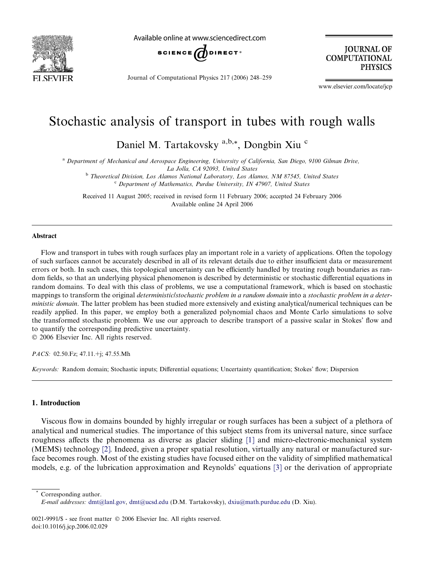

Available online at www.sciencedirect.com



Journal of Computational Physics 217 (2006) 248–259

**JOURNAL OF COMPUTATIONAL PHYSICS** 

www.elsevier.com/locate/jcp

# Stochastic analysis of transport in tubes with rough walls

Daniel M. Tartakovsky<sup>a,b,\*</sup>, Dongbin Xiu<sup>c</sup>

<sup>a</sup> Department of Mechanical and Aerospace Engineering, University of California, San Diego, 9100 Gilman Drive, La Jolla, CA 92093, United States

<sup>b</sup> Theoretical Division, Los Alamos National Laboratory, Los Alamos, NM 87545, United States

 $c$  Department of Mathematics, Purdue University, IN 47907, United States

Received 11 August 2005; received in revised form 11 February 2006; accepted 24 February 2006 Available online 24 April 2006

#### Abstract

Flow and transport in tubes with rough surfaces play an important role in a variety of applications. Often the topology of such surfaces cannot be accurately described in all of its relevant details due to either insufficient data or measurement errors or both. In such cases, this topological uncertainty can be efficiently handled by treating rough boundaries as random fields, so that an underlying physical phenomenon is described by deterministic or stochastic differential equations in random domains. To deal with this class of problems, we use a computational framework, which is based on stochastic mappings to transform the original deterministic/stochastic problem in a random domain into a stochastic problem in a deterministic domain. The latter problem has been studied more extensively and existing analytical/numerical techniques can be readily applied. In this paper, we employ both a generalized polynomial chaos and Monte Carlo simulations to solve the transformed stochastic problem. We use our approach to describe transport of a passive scalar in Stokes' flow and to quantify the corresponding predictive uncertainty.

© 2006 Elsevier Inc. All rights reserved.

PACS: 02.50.Fz; 47.11.+j; 47.55.Mh

Keywords: Random domain; Stochastic inputs; Differential equations; Uncertainty quantification; Stokes' flow; Dispersion

# 1. Introduction

Viscous flow in domains bounded by highly irregular or rough surfaces has been a subject of a plethora of analytical and numerical studies. The importance of this subject stems from its universal nature, since surface roughness affects the phenomena as diverse as glacier sliding [\[1\]](#page-11-0) and micro-electronic-mechanical system (MEMS) technology [\[2\]](#page-11-0). Indeed, given a proper spatial resolution, virtually any natural or manufactured surface becomes rough. Most of the existing studies have focused either on the validity of simplified mathematical models, e.g. of the lubrication approximation and Reynolds' equations [\[3\]](#page-11-0) or the derivation of appropriate

Corresponding author.

E-mail addresses: [dmt@lanl.gov](mailto:dmt@lanl.gov), [dmt@ucsd.edu](mailto:dmt@ucsd.edu) (D.M. Tartakovsky), [dxiu@math.purdue.edu](mailto:dxiu@math.purdue.edu) (D. Xiu).

<sup>0021-9991/\$ -</sup> see front matter © 2006 Elsevier Inc. All rights reserved. doi:10.1016/j.jcp.2006.02.029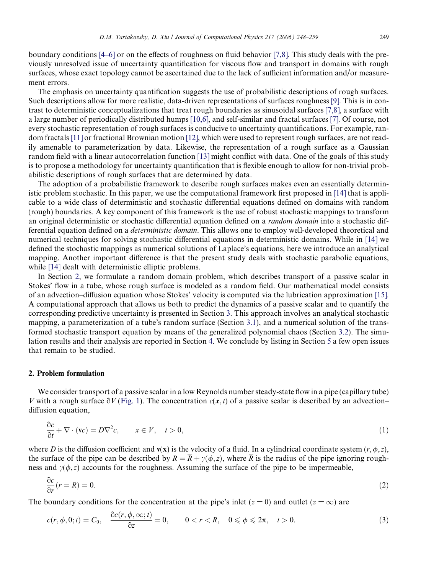<span id="page-1-0"></span>boundary conditions [\[4–6\]](#page-11-0) or on the effects of roughness on fluid behavior [\[7,8\]](#page-11-0). This study deals with the previously unresolved issue of uncertainty quantification for viscous flow and transport in domains with rough surfaces, whose exact topology cannot be ascertained due to the lack of sufficient information and/or measurement errors.

The emphasis on uncertainty quantification suggests the use of probabilistic descriptions of rough surfaces. Such descriptions allow for more realistic, data-driven representations of surfaces roughness [\[9\].](#page-11-0) This is in contrast to deterministic conceptualizations that treat rough boundaries as sinusoidal surfaces [\[7,8\]](#page-11-0), a surface with a large number of periodically distributed humps [\[10,6\]](#page-11-0), and self-similar and fractal surfaces [\[7\]](#page-11-0). Of course, not every stochastic representation of rough surfaces is conducive to uncertainty quantifications. For example, random fractals [\[11\]](#page-11-0) or fractional Brownian motion [\[12\],](#page-11-0) which were used to represent rough surfaces, are not readily amenable to parameterization by data. Likewise, the representation of a rough surface as a Gaussian random field with a linear autocorrelation function [\[13\]](#page-11-0) might conflict with data. One of the goals of this study is to propose a methodology for uncertainty quantification that is flexible enough to allow for non-trivial probabilistic descriptions of rough surfaces that are determined by data.

The adoption of a probabilistic framework to describe rough surfaces makes even an essentially deterministic problem stochastic. In this paper, we use the computational framework first proposed in [\[14\]](#page-11-0) that is applicable to a wide class of deterministic and stochastic differential equations defined on domains with random (rough) boundaries. A key component of this framework is the use of robust stochastic mappings to transform an original deterministic or stochastic differential equation defined on a random domain into a stochastic differential equation defined on a deterministic domain. This allows one to employ well-developed theoretical and numerical techniques for solving stochastic differential equations in deterministic domains. While in [\[14\]](#page-11-0) we defined the stochastic mappings as numerical solutions of Laplace's equations, here we introduce an analytical mapping. Another important difference is that the present study deals with stochastic parabolic equations, while [\[14\]](#page-11-0) dealt with deterministic elliptic problems.

In Section 2, we formulate a random domain problem, which describes transport of a passive scalar in Stokes' flow in a tube, whose rough surface is modeled as a random field. Our mathematical model consists of an advection–diffusion equation whose Stokes' velocity is computed via the lubrication approximation [\[15\]](#page-11-0). A computational approach that allows us both to predict the dynamics of a passive scalar and to quantify the corresponding predictive uncertainty is presented in Section [3.](#page-3-0) This approach involves an analytical stochastic mapping, a parameterization of a tube's random surface (Section [3.1\)](#page-4-0), and a numerical solution of the transformed stochastic transport equation by means of the generalized polynomial chaos (Section [3.2\)](#page-6-0). The simulation results and their analysis are reported in Section [4](#page-7-0). We conclude by listing in Section [5](#page-9-0) a few open issues that remain to be studied.

## 2. Problem formulation

We consider transport of a passive scalar in a low Reynolds number steady-state flow in a pipe (capillary tube) V with a rough surface  $\partial V$  ([Fig. 1\)](#page-2-0). The concentration  $c(x, t)$  of a passive scalar is described by an advection– diffusion equation,

$$
\frac{\partial c}{\partial t} + \nabla \cdot (\mathbf{v}c) = D\nabla^2 c, \qquad x \in V, \quad t > 0,
$$
\n(1)

where D is the diffusion coefficient and  $v(x)$  is the velocity of a fluid. In a cylindrical coordinate system  $(r, \phi, z)$ , the surface of the pipe can be described by  $R = \overline{R} + \gamma(\phi, z)$ , where  $\overline{R}$  is the radius of the pipe ignoring roughness and  $\gamma(\phi, z)$  accounts for the roughness. Assuming the surface of the pipe to be impermeable,

$$
\frac{\partial c}{\partial r}(r=R) = 0.\tag{2}
$$

The boundary conditions for the concentration at the pipe's inlet ( $z = 0$ ) and outlet ( $z = \infty$ ) are

$$
c(r, \phi, 0; t) = C_0, \quad \frac{\partial c(r, \phi, \infty; t)}{\partial z} = 0, \qquad 0 < r < R, \quad 0 \leq \phi \leq 2\pi, \quad t > 0. \tag{3}
$$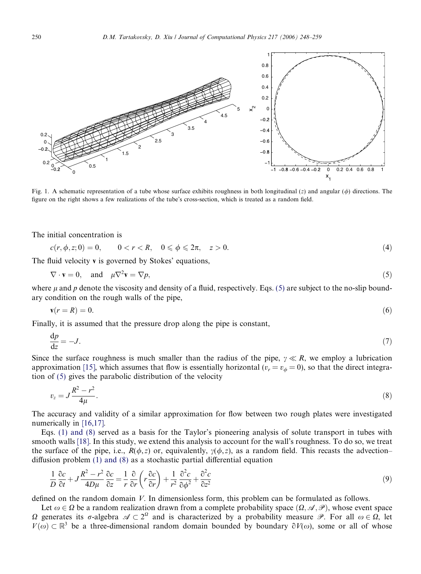<span id="page-2-0"></span>

Fig. 1. A schematic representation of a tube whose surface exhibits roughness in both longitudinal (z) and angular ( $\phi$ ) directions. The figure on the right shows a few realizations of the tube's cross-section, which is treated as a random field.

The initial concentration is

$$
c(r, \phi, z; 0) = 0, \qquad 0 < r < R, \quad 0 \leq \phi \leq 2\pi, \quad z > 0. \tag{4}
$$

The fluid velocity v is governed by Stokes' equations,

$$
\nabla \cdot \mathbf{v} = 0, \quad \text{and} \quad \mu \nabla^2 \mathbf{v} = \nabla p,\tag{5}
$$

where  $\mu$  and p denote the viscosity and density of a fluid, respectively. Eqs. (5) are subject to the no-slip boundary condition on the rough walls of the pipe,

$$
\mathbf{v}(r=R) = 0.\tag{6}
$$

Finally, it is assumed that the pressure drop along the pipe is constant,

$$
\frac{\mathrm{d}p}{\mathrm{d}z} = -J.\tag{7}
$$

Since the surface roughness is much smaller than the radius of the pipe,  $\gamma \ll R$ , we employ a lubrication approximation [\[15\],](#page-11-0) which assumes that flow is essentially horizontal ( $v_r = v_\phi = 0$ ), so that the direct integration of (5) gives the parabolic distribution of the velocity

$$
v_z = J \frac{R^2 - r^2}{4\mu}.
$$
\n(8)

The accuracy and validity of a similar approximation for flow between two rough plates were investigated numerically in [\[16,17\]](#page-11-0).

Eqs. [\(1\) and \(8\)](#page-1-0) served as a basis for the Taylor's pioneering analysis of solute transport in tubes with smooth walls [\[18\]](#page-11-0). In this study, we extend this analysis to account for the wall's roughness. To do so, we treat the surface of the pipe, i.e.,  $R(\phi, z)$  or, equivalently,  $\gamma(\phi, z)$ , as a random field. This recasts the advection– diffusion problem [\(1\) and \(8\)](#page-1-0) as a stochastic partial differential equation

$$
\frac{1}{D}\frac{\partial c}{\partial t} + J\frac{R^2 - r^2}{4D\mu}\frac{\partial c}{\partial z} = \frac{1}{r}\frac{\partial}{\partial r}\left(r\frac{\partial c}{\partial r}\right) + \frac{1}{r^2}\frac{\partial^2 c}{\partial \phi^2} + \frac{\partial^2 c}{\partial z^2}
$$
\n<sup>(9)</sup>

defined on the random domain V. In dimensionless form, this problem can be formulated as follows.

Let  $\omega \in \Omega$  be a random realization drawn from a complete probability space  $(\Omega, \mathscr{A}, \mathscr{P})$ , whose event space  $\Omega$  generates its  $\sigma$ -algebra  $\mathscr{A} \subset 2^{\Omega}$  and is characterized by a probability measure  $\mathscr{P}$ . For all  $\omega \in \Omega$ , let  $V(\omega) \subset \mathbb{R}^3$  be a three-dimensional random domain bounded by boundary  $\partial V(\omega)$ , some or all of whose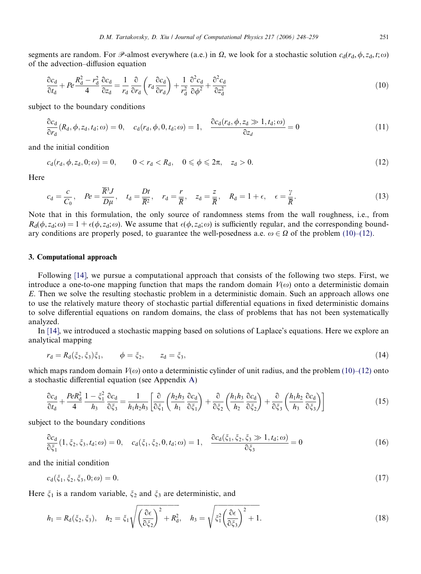<span id="page-3-0"></span>segments are random. For P-almost everywhere (a.e.) in  $\Omega$ , we look for a stochastic solution  $c_d(r_d, \phi, z_d, t; \omega)$ of the advection–diffusion equation

$$
\frac{\partial c_d}{\partial t_d} + Pe \frac{R_d^2 - r_d^2}{4} \frac{\partial c_d}{\partial z_d} = \frac{1}{r_d} \frac{\partial}{\partial r_d} \left( r_d \frac{\partial c_d}{\partial r_d} \right) + \frac{1}{r_d^2} \frac{\partial^2 c_d}{\partial \phi^2} + \frac{\partial^2 c_d}{\partial z_d^2}
$$
(10)

subject to the boundary conditions

$$
\frac{\partial c_d}{\partial r_d}(R_d, \phi, z_d, t_d; \omega) = 0, \quad c_d(r_d, \phi, 0, t_d; \omega) = 1, \quad \frac{\partial c_d(r_d, \phi, z_d \gg 1, t_d; \omega)}{\partial z_d} = 0 \tag{11}
$$

and the initial condition

$$
c_{d}(r_{d}, \phi, z_{d}, 0; \omega) = 0, \qquad 0 < r_{d} < R_{d}, \quad 0 \leq \phi \leq 2\pi, \quad z_{d} > 0.
$$
 (12)

Here

$$
c_{\rm d} = \frac{c}{C_0}, \quad Pe = \frac{\overline{R}^3 J}{D\mu}, \quad t_{\rm d} = \frac{Dt}{\overline{R}^2}, \quad r_{\rm d} = \frac{r}{\overline{R}}, \quad z_{\rm d} = \frac{z}{\overline{R}}, \quad R_{\rm d} = 1 + \epsilon, \quad \epsilon = \frac{\gamma}{\overline{R}}.\tag{13}
$$

Note that in this formulation, the only source of randomness stems from the wall roughness, i.e., from  $R_d(\phi, z_d; \omega) = 1 + \epsilon(\phi, z_d; \omega)$ . We assume that  $\epsilon(\phi, z_d; \omega)$  is sufficiently regular, and the corresponding boundary conditions are properly posed, to guarantee the well-posedness a.e.  $\omega \in \Omega$  of the problem (10)–(12).

### 3. Computational approach

Following [\[14\],](#page-11-0) we pursue a computational approach that consists of the following two steps. First, we introduce a one-to-one mapping function that maps the random domain  $V(\omega)$  onto a deterministic domain E. Then we solve the resulting stochastic problem in a deterministic domain. Such an approach allows one to use the relatively mature theory of stochastic partial differential equations in fixed deterministic domains to solve differential equations on random domains, the class of problems that has not been systematically analyzed.

In [\[14\]](#page-11-0), we introduced a stochastic mapping based on solutions of Laplace's equations. Here we explore an analytical mapping

$$
r_{d} = R_{d}(\xi_{2}, \xi_{3})\xi_{1}, \qquad \phi = \xi_{2}, \qquad z_{d} = \xi_{3}, \tag{14}
$$

which maps random domain  $V(\omega)$  onto a deterministic cylinder of unit radius, and the problem (10)–(12) onto a stochastic differential equation (see Appendix A)

$$
\frac{\partial c_d}{\partial t_d} + \frac{PeR_d^2}{4} \frac{1 - \xi_1^2}{h_3} \frac{\partial c_d}{\partial \xi_3} = \frac{1}{h_1 h_2 h_3} \left[ \frac{\partial}{\partial \xi_1} \left( \frac{h_2 h_3}{h_1} \frac{\partial c_d}{\partial \xi_1} \right) + \frac{\partial}{\partial \xi_2} \left( \frac{h_1 h_3}{h_2} \frac{\partial c_d}{\partial \xi_2} \right) + \frac{\partial}{\partial \xi_3} \left( \frac{h_1 h_2}{h_3} \frac{\partial c_d}{\partial \xi_3} \right) \right]
$$
(15)

subject to the boundary conditions

$$
\frac{\partial c_d}{\partial \xi_1}(1, \xi_2, \xi_3, t_d; \omega) = 0, \quad c_d(\xi_1, \xi_2, 0, t_d; \omega) = 1, \quad \frac{\partial c_d(\xi_1, \xi_2, \xi_3 \gg 1, t_d; \omega)}{\partial \xi_3} = 0 \tag{16}
$$

and the initial condition

$$
c_{\rm d}(\xi_1, \xi_2, \xi_3, 0; \omega) = 0. \tag{17}
$$

Here  $\xi_1$  is a random variable,  $\xi_2$  and  $\xi_3$  are deterministic, and

$$
h_1 = R_d(\xi_2, \xi_3), \quad h_2 = \xi_1 \sqrt{\left(\frac{\partial \epsilon}{\partial \xi_2}\right)^2 + R_d^2}, \quad h_3 = \sqrt{\xi_1^2 \left(\frac{\partial \epsilon}{\partial \xi_3}\right)^2 + 1}.
$$
\n(18)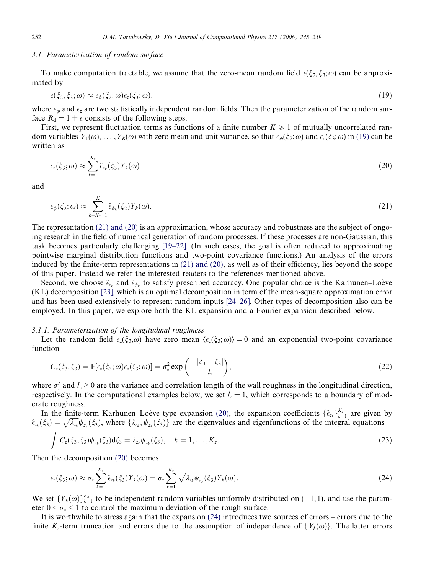#### <span id="page-4-0"></span>3.1. Parameterization of random surface

To make computation tractable, we assume that the zero-mean random field  $\epsilon(\xi_2, \xi_3; \omega)$  can be approximated by

$$
\epsilon(\xi_2, \xi_3; \omega) \approx \epsilon_{\phi}(\xi_2; \omega) \epsilon_z(\xi_3; \omega), \tag{19}
$$

where  $\epsilon_{\phi}$  and  $\epsilon_{z}$  are two statistically independent random fields. Then the parameterization of the random surface  $R_d = 1 + \epsilon$  consists of the following steps.

First, we represent fluctuation terms as functions of a finite number  $K \geq 1$  of mutually uncorrelated random variables  $Y_1(\omega), \ldots, Y_K(\omega)$  with zero mean and unit variance, so that  $\epsilon_{\phi}(\xi_2; \omega)$  and  $\epsilon_{z}(\xi_3; \omega)$  in (19) can be written as

$$
\epsilon_z(\xi_3;\omega) \approx \sum_{k=1}^{K_z} \hat{\epsilon}_{z_k}(\xi_3) Y_k(\omega) \tag{20}
$$

and

$$
\epsilon_{\phi}(\xi_2;\omega) \approx \sum_{k=K_z+1}^K \hat{\epsilon}_{\phi_k}(\xi_2) Y_k(\omega). \tag{21}
$$

The representation (21) and (20) is an approximation, whose accuracy and robustness are the subject of ongoing research in the field of numerical generation of random processes. If these processes are non-Gaussian, this task becomes particularly challenging [\[19–22\]](#page-11-0). (In such cases, the goal is often reduced to approximating pointwise marginal distribution functions and two-point covariance functions.) An analysis of the errors induced by the finite-term representations in (21) and (20), as well as of their efficiency, lies beyond the scope of this paper. Instead we refer the interested readers to the references mentioned above.

Second, we choose  $\hat{\epsilon}_{z_k}$  and  $\hat{\epsilon}_{\phi_k}$  to satisfy prescribed accuracy. One popular choice is the Karhunen–Loève (KL) decomposition [\[23\],](#page-11-0) which is an optimal decomposition in term of the mean-square approximation error and has been used extensively to represent random inputs [\[24–26\].](#page-11-0) Other types of decomposition also can be employed. In this paper, we explore both the KL expansion and a Fourier expansion described below.

### 3.1.1. Parameterization of the longitudinal roughness

Let the random field  $\epsilon_z(\xi_3,\omega)$  have zero mean  $\langle \epsilon_z(\xi_3;\omega) \rangle = 0$  and an exponential two-point covariance function

$$
C_z(\xi_3,\zeta_3) = \mathbb{E}[\epsilon_z(\xi_3;\omega)\epsilon_z(\zeta_3;\omega)] = \sigma_z^2 \exp\left(-\frac{|\xi_3-\zeta_3|}{l_z}\right),\tag{22}
$$

where  $\sigma_z^2$  and  $l_z > 0$  are the variance and correlation length of the wall roughness in the longitudinal direction, respectively. In the computational examples below, we set  $l<sub>z</sub> = 1$ , which corresponds to a boundary of moderate roughness.

In the finite-term Karhunen–Loève type expansion (20), the expansion coefficients  $\{\hat{\epsilon}_{z_k}\}_{k=1}^{K_z}$  are given by  $\hat{\epsilon}_{z_k}(\xi_3) = \sqrt{\lambda_{z_k}} \psi_{z_k}(\xi_3)$ , where  $\{\lambda_{z_k}, \psi_{z_k}(\xi_3)\}$  are the eigenvalues and eigenfunctions of the integral equations

$$
\int C_z(\xi_3,\zeta_3)\psi_{z_k}(\zeta_3)d\zeta_3=\lambda_{z_k}\psi_{z_k}(\xi_3), \quad k=1,\ldots,K_z.
$$
\n(23)

Then the decomposition (20) becomes

$$
\epsilon_z(\xi_3;\omega) \approx \sigma_z \sum_{k=1}^{K_z} \hat{\epsilon}_{z_k}(\xi_3) Y_k(\omega) = \sigma_z \sum_{k=1}^{K_z} \sqrt{\lambda_{z_k}} \psi_{z_k}(\xi_3) Y_k(\omega). \tag{24}
$$

We set  ${Y_k(\omega)}_{k=1}^{K_z}$  to be independent random variables uniformly distributed on (-1, 1), and use the parameter  $0 \leq \sigma_z \leq 1$  to control the maximum deviation of the rough surface.

It is worthwhile to stress again that the expansion (24) introduces two sources of errors – errors due to the finite  $K_z$ -term truncation and errors due to the assumption of independence of  $\{Y_k(\omega)\}\$ . The latter errors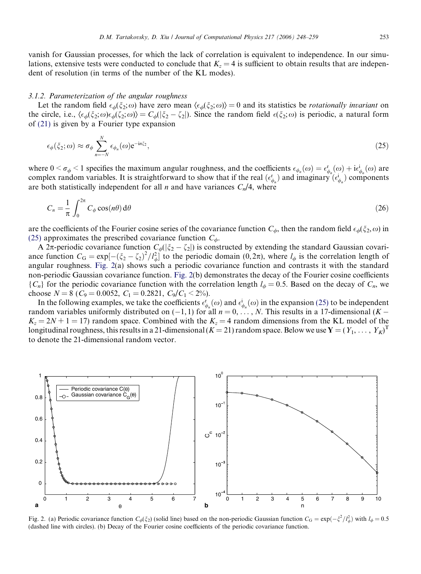vanish for Gaussian processes, for which the lack of correlation is equivalent to independence. In our simulations, extensive tests were conducted to conclude that  $K<sub>z</sub> = 4$  is sufficient to obtain results that are independent of resolution (in terms of the number of the KL modes).

## 3.1.2. Parameterization of the angular roughness

Let the random field  $\epsilon_{\phi}(\xi_2;\omega)$  have zero mean  $\langle \epsilon_{\phi}(\xi_2;\omega) \rangle = 0$  and its statistics be *rotationally invariant* on the circle, i.e.,  $\langle \epsilon_{\phi}(\xi_2; \omega) \epsilon_{\phi}(\zeta_2; \omega) \rangle = C_{\phi}(|\xi_2 - \zeta_2|)$ . Since the random field  $\epsilon(\xi_2; \omega)$  is periodic, a natural form of [\(21\)](#page-4-0) is given by a Fourier type expansion

$$
\epsilon_{\phi}(\xi_2;\omega) \approx \sigma_{\phi} \sum_{n=-N}^{N} \epsilon_{\phi_n}(\omega) e^{-in\xi_2}, \qquad (25)
$$

where  $0 < \sigma_{\phi} < 1$  specifies the maximum angular roughness, and the coefficients  $\epsilon_{\phi_n}(\omega) = \epsilon_{\phi_n}^{\mathbf{r}}(\omega) + i\epsilon_{\phi_n}^{\mathbf{r}}(\omega)$  are complex random variables. It is straightforward to show that if the real  $(\epsilon_{\phi_n}^r)$  and imaginary  $(\epsilon_{\phi_n}^i)$  components are both statistically independent for all *n* and have variances  $C_n/4$ , where

$$
C_n = \frac{1}{\pi} \int_0^{2\pi} C_\phi \cos(n\theta) \, d\theta \tag{26}
$$

are the coefficients of the Fourier cosine series of the covariance function  $C_\phi$ , then the random field  $\epsilon_\phi(\xi_2,\omega)$  in (25) approximates the prescribed covariance function  $C_{\phi}$ .

A 2 $\pi$ -periodic covariance function  $C_{\phi}(|\xi_2 - \zeta_2|)$  is constructed by extending the standard Gaussian covariance function  $C_G = \exp[-(\xi_2 - \zeta_2)^2 / l_{\phi}^2]$  to the periodic domain (0,  $2\pi$ ), where  $l_{\phi}$  is the correlation length of angular roughness. Fig. 2(a) shows such a periodic covariance function and contrasts it with the standard non-periodic Gaussian covariance function. Fig. 2(b) demonstrates the decay of the Fourier cosine coefficients  ${C_n}$  for the periodic covariance function with the correlation length  $l_\phi = 0.5$ . Based on the decay of  $C_n$ , we choose  $N = 8$  ( $C_9 = 0.0052$ ,  $C_1 = 0.2821$ ,  $C_9/C_1 < 2\%$ ).

In the following examples, we take the coefficients  $\epsilon_{\phi_n}^{\Gamma}(\omega)$  and  $\epsilon_{\phi_n}^{\Gamma}(\omega)$  in the expansion (25) to be independent random variables uniformly distributed on  $(-1, 1)$  for all  $n = 0, \ldots, N$ . This results in a 17-dimensional  $(K K_z = 2N + 1 = 17$ ) random space. Combined with the  $K_z = 4$  random dimensions from the KL model of the longitudinal roughness, this results in a 21-dimensional ( $K$  = 21) random space. Below we use  $\mathbf{Y}$  = (  $Y_1,\,\ldots,\,Y_K)^{\rm T}$ to denote the 21-dimensional random vector.



Fig. 2. (a) Periodic covariance function  $C_{\phi}(\xi_2)$  (solid line) based on the non-periodic Gaussian function  $C_G = \exp(-\xi^2/l_{\phi}^2)$  with  $l_{\phi} = 0.5$ (dashed line with circles). (b) Decay of the Fourier cosine coefficients of the periodic covariance function.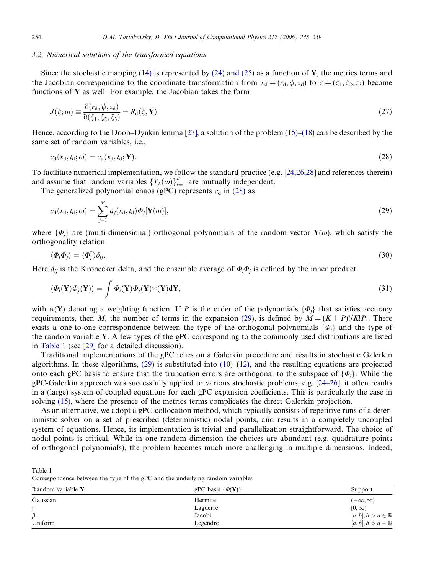#### <span id="page-6-0"></span>3.2. Numerical solutions of the transformed equations

Since the stochastic mapping  $(14)$  is represented by  $(24)$  and  $(25)$  as a function of Y, the metrics terms and the Jacobian corresponding to the coordinate transformation from  $x_d = (r_d, \phi, z_d)$  to  $\xi = (\xi_1, \xi_2, \xi_3)$  become functions of Y as well. For example, the Jacobian takes the form

$$
J(\xi;\omega) \equiv \frac{\partial (r_{\rm d}, \phi, z_{\rm d})}{\partial (\xi_1, \xi_2, \xi_3)} = R_{\rm d}(\xi, \mathbf{Y}).\tag{27}
$$

Hence, according to the Doob–Dynkin lemma [\[27\],](#page-11-0) a solution of the problem [\(15\)–\(18\)](#page-3-0) can be described by the same set of random variables, i.e.,

$$
c_{\rm d}(x_{\rm d}, t_{\rm d}; \omega) = c_{\rm d}(x_{\rm d}, t_{\rm d}; \mathbf{Y}). \tag{28}
$$

To facilitate numerical implementation, we follow the standard practice (e.g.  $[24,26,28]$  and references therein) and assume that random variables  ${Y_k(\omega)}_{k=1}^K$  are mutually independent.

The generalized polynomial chaos (gPC) represents  $c_d$  in (28) as

$$
c_{\mathbf{d}}(x_{\mathbf{d}},t_{\mathbf{d}};\omega) = \sum_{j=1}^{M} a_j(x_{\mathbf{d}},t_{\mathbf{d}}) \Phi_j[\mathbf{Y}(\omega)],\tag{29}
$$

where  $\{\Phi_i\}$  are (multi-dimensional) orthogonal polynomials of the random vector  $Y(\omega)$ , which satisfy the orthogonality relation

$$
\langle \Phi_i \Phi_j \rangle = \langle \Phi_i^2 \rangle \delta_{ij}.\tag{30}
$$

Here  $\delta_{ij}$  is the Kronecker delta, and the ensemble average of  $\Phi_i \Phi_j$  is defined by the inner product

$$
\langle \Phi_i(\mathbf{Y}) \Phi_j(\mathbf{Y}) \rangle = \int \Phi_i(\mathbf{Y}) \Phi_j(\mathbf{Y}) w(\mathbf{Y}) \mathrm{d}\mathbf{Y},\tag{31}
$$

with  $w(Y)$  denoting a weighting function. If P is the order of the polynomials  $\{\Phi_i\}$  that satisfies accuracy requirements, then M, the number of terms in the expansion (29), is defined by  $M = (K + P)!/K!P!$ . There exists a one-to-one correspondence between the type of the orthogonal polynomials  $\{\Phi_i\}$  and the type of the random variable Y. A few types of the gPC corresponding to the commonly used distributions are listed in Table 1 (see [\[29\]](#page-11-0) for a detailed discussion).

Traditional implementations of the gPC relies on a Galerkin procedure and results in stochastic Galerkin algorithms. In these algorithms,  $(29)$  is substituted into  $(10)$ – $(12)$ , and the resulting equations are projected onto each gPC basis to ensure that the truncation errors are orthogonal to the subspace of  $\{\Phi_i\}$ . While the gPC-Galerkin approach was successfully applied to various stochastic problems, e.g. [\[24–26\]](#page-11-0), it often results in a (large) system of coupled equations for each gPC expansion coefficients. This is particularly the case in solving [\(15\)](#page-3-0), where the presence of the metrics terms complicates the direct Galerkin projection.

As an alternative, we adopt a gPC-collocation method, which typically consists of repetitive runs of a deterministic solver on a set of prescribed (deterministic) nodal points, and results in a completely uncoupled system of equations. Hence, its implementation is trivial and parallelization straightforward. The choice of nodal points is critical. While in one random dimension the choices are abundant (e.g. quadrature points of orthogonal polynomials), the problem becomes much more challenging in multiple dimensions. Indeed,

Table 1 Correspondence between the type of the gPC and the underlying random variables

| Random variable Y | gPC basis $\{\phi(Y)\}\$ | Support                       |
|-------------------|--------------------------|-------------------------------|
| Gaussian          | Hermite                  | $(-\infty,\infty)$            |
| $^{\circ}$        | Laguerre                 | $[0,\infty)$                  |
| $\beta$           | Jacobi                   | $[a,b], b > a \in \mathbb{R}$ |
| Uniform           | Legendre                 | $[a,b], b > a \in \mathbb{R}$ |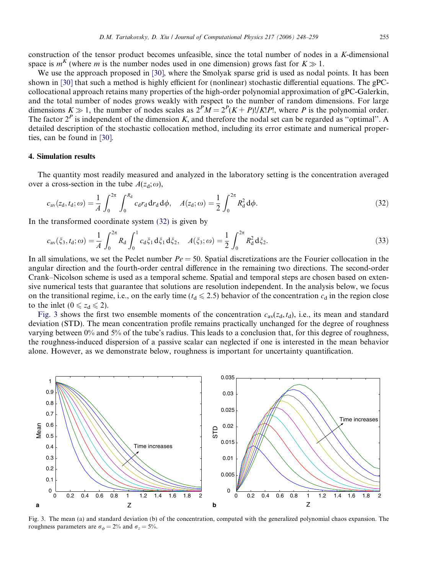<span id="page-7-0"></span>construction of the tensor product becomes unfeasible, since the total number of nodes in a K-dimensional space is  $m<sup>K</sup>$  (where m is the number nodes used in one dimension) grows fast for  $K \gg 1$ .

We use the approach proposed in [\[30\],](#page-11-0) where the Smolyak sparse grid is used as nodal points. It has been shown in [\[30\]](#page-11-0) that such a method is highly efficient for (nonlinear) stochastic differential equations. The gPCcollocational approach retains many properties of the high-order polynomial approximation of gPC-Galerkin, and the total number of nodes grows weakly with respect to the number of random dimensions. For large dimensions  $K \gg 1$ , the number of nodes scales as  $2^P M = 2^P (K + P)! / K! P!$ , where P is the polynomial order. The factor  $2^P$  is independent of the dimension K, and therefore the nodal set can be regarded as "optimal". A detailed description of the stochastic collocation method, including its error estimate and numerical properties, can be found in [\[30\]](#page-11-0).

## 4. Simulation results

The quantity most readily measured and analyzed in the laboratory setting is the concentration averaged over a cross-section in the tube  $A(z_d; \omega)$ ,

$$
c_{\rm av}(z_{\rm d}, t_{\rm d}; \omega) = \frac{1}{A} \int_0^{2\pi} \int_0^{R_{\rm d}} c_{\rm d} r_{\rm d} d r_{\rm d} d \phi, \quad A(z_{\rm d}; \omega) = \frac{1}{2} \int_0^{2\pi} R_{\rm d}^2 d \phi.
$$
 (32)

In the transformed coordinate system (32) is given by

$$
c_{\rm av}(\xi_3, t_{\rm d}; \omega) = \frac{1}{A} \int_0^{2\pi} R_{\rm d} \int_0^1 c_{\rm d} \xi_1 \, d\xi_1 \, d\xi_2, \quad A(\xi_3; \omega) = \frac{1}{2} \int_0^{2\pi} R_{\rm d}^2 \, d\xi_2. \tag{33}
$$

In all simulations, we set the Peclet number  $Pe = 50$ . Spatial discretizations are the Fourier collocation in the angular direction and the fourth-order central difference in the remaining two directions. The second-order Crank–Nicolson scheme is used as a temporal scheme. Spatial and temporal steps are chosen based on extensive numerical tests that guarantee that solutions are resolution independent. In the analysis below, we focus on the transitional regime, i.e., on the early time ( $t_d \le 2.5$ ) behavior of the concentration  $c_d$  in the region close to the inlet  $(0 \le z_d \le 2)$ .

Fig. 3 shows the first two ensemble moments of the concentration  $c_{av}(z_d, t_d)$ , i.e., its mean and standard deviation (STD). The mean concentration profile remains practically unchanged for the degree of roughness varying between 0% and 5% of the tube's radius. This leads to a conclusion that, for this degree of roughness, the roughness-induced dispersion of a passive scalar can neglected if one is interested in the mean behavior alone. However, as we demonstrate below, roughness is important for uncertainty quantification.



Fig. 3. The mean (a) and standard deviation (b) of the concentration, computed with the generalized polynomial chaos expansion. The roughness parameters are  $\sigma_{\phi} = 2\%$  and  $\sigma_{z} = 5\%$ .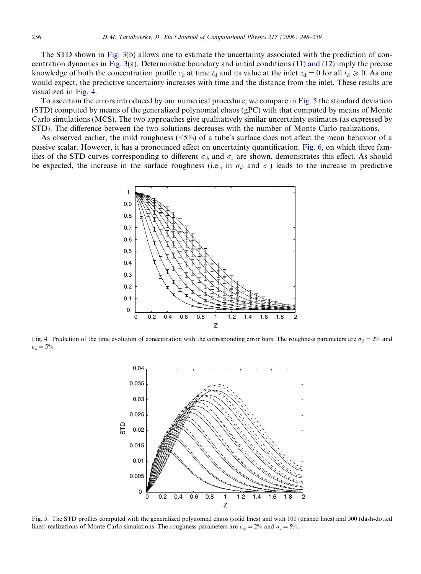The STD shown in [Fig. 3\(](#page-7-0)b) allows one to estimate the uncertainty associated with the prediction of concentration dynamics in [Fig. 3](#page-7-0)(a). Deterministic boundary and initial conditions [\(11\) and \(12\)](#page-3-0) imply the precise knowledge of both the concentration profile  $c_d$  at time  $t_d$  and its value at the inlet  $z_d = 0$  for all  $t_d \ge 0$ . As one would expect, the predictive uncertainty increases with time and the distance from the inlet. These results are visualized in Fig. 4.

To ascertain the errors introduced by our numerical procedure, we compare in Fig. 5 the standard deviation (STD) computed by means of the generalized polynomial chaos (gPC) with that computed by means of Monte Carlo simulations (MCS). The two approaches give qualitatively similar uncertainty estimates (as expressed by STD). The difference between the two solutions decreases with the number of Monte Carlo realizations.

As observed earlier, the mild roughness ( $\leq 5\%$ ) of a tube's surface does not affect the mean behavior of a passive scalar. However, it has a pronounced effect on uncertainty quantification. [Fig. 6,](#page-9-0) on which three families of the STD curves corresponding to different  $\sigma_{\phi}$  and  $\sigma_{z}$  are shown, demonstrates this effect. As should be expected, the increase in the surface roughness (i.e., in  $\sigma_{\phi}$  and  $\sigma_{z}$ ) leads to the increase in predictive



Fig. 4. Prediction of the time evolution of concentration with the corresponding error bars. The roughness parameters are  $\sigma_{\phi} = 2\%$  and  $\sigma_z = 5\%$ .



Fig. 5. The STD profiles computed with the generalized polynomial chaos (solid lines) and with 100 (dashed lines) and 500 (dash-dotted lines) realizations of Monte Carlo simulations. The roughness parameters are  $\sigma_{\phi} = 2\%$  and  $\sigma_{z} = 5\%$ .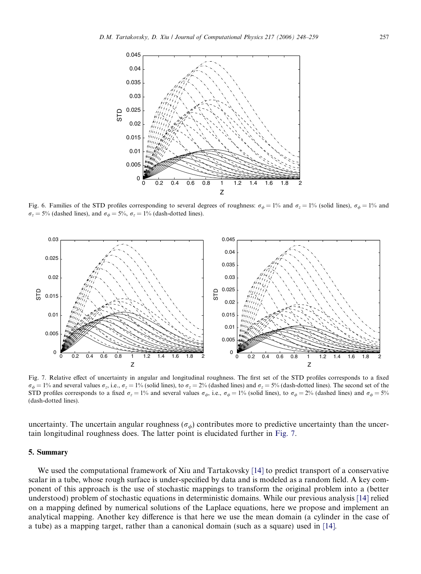<span id="page-9-0"></span>

Fig. 6. Families of the STD profiles corresponding to several degrees of roughness:  $\sigma_{\phi} = 1$ % and  $\sigma_{z} = 1$ % (solid lines),  $\sigma_{\phi} = 1$ % and  $\sigma_z = 5\%$  (dashed lines), and  $\sigma_{\phi} = 5\%$ ,  $\sigma_z = 1\%$  (dash-dotted lines).



Fig. 7. Relative effect of uncertainty in angular and longitudinal roughness. The first set of the STD profiles corresponds to a fixed  $\sigma_{\phi} = 1\%$  and several values  $\sigma_z$ , i.e.,  $\sigma_z = 1\%$  (solid lines), to  $\sigma_z = 2\%$  (dashed lines) and  $\sigma_z = 5\%$  (dash-dotted lines). The second set of the STD profiles corresponds to a fixed  $\sigma_z = 1\%$  and several values  $\sigma_{\phi}$ , i.e.,  $\sigma_{\phi} = 1\%$  (solid lines), to  $\sigma_{\phi} = 2\%$  (dashed lines) and  $\sigma_{\phi} = 5\%$ (dash-dotted lines).

uncertainty. The uncertain angular roughness ( $\sigma_{\phi}$ ) contributes more to predictive uncertainty than the uncertain longitudinal roughness does. The latter point is elucidated further in Fig. 7.

## 5. Summary

We used the computational framework of Xiu and Tartakovsky [\[14\]](#page-11-0) to predict transport of a conservative scalar in a tube, whose rough surface is under-specified by data and is modeled as a random field. A key component of this approach is the use of stochastic mappings to transform the original problem into a (better understood) problem of stochastic equations in deterministic domains. While our previous analysis [\[14\]](#page-11-0) relied on a mapping defined by numerical solutions of the Laplace equations, here we propose and implement an analytical mapping. Another key difference is that here we use the mean domain (a cylinder in the case of a tube) as a mapping target, rather than a canonical domain (such as a square) used in [\[14\]](#page-11-0).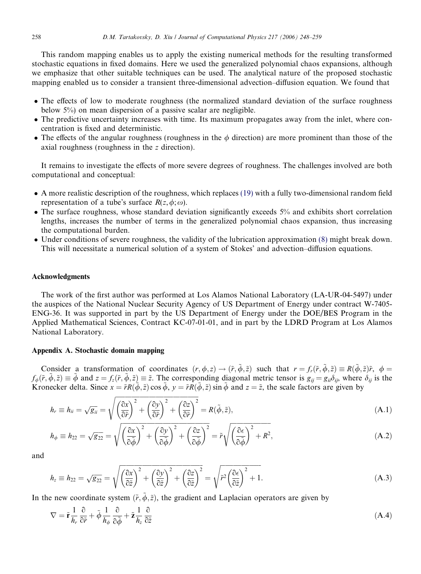This random mapping enables us to apply the existing numerical methods for the resulting transformed stochastic equations in fixed domains. Here we used the generalized polynomial chaos expansions, although we emphasize that other suitable techniques can be used. The analytical nature of the proposed stochastic mapping enabled us to consider a transient three-dimensional advection–diffusion equation. We found that

- The effects of low to moderate roughness (the normalized standard deviation of the surface roughness below 5%) on mean dispersion of a passive scalar are negligible.
- The predictive uncertainty increases with time. Its maximum propagates away from the inlet, where concentration is fixed and deterministic.
- The effects of the angular roughness (roughness in the  $\phi$  direction) are more prominent than those of the axial roughness (roughness in the z direction).

It remains to investigate the effects of more severe degrees of roughness. The challenges involved are both computational and conceptual:

- A more realistic description of the roughness, which replaces [\(19\)](#page-4-0) with a fully two-dimensional random field representation of a tube's surface  $R(z,\phi;\omega)$ .
- The surface roughness, whose standard deviation significantly exceeds 5% and exhibits short correlation lengths, increases the number of terms in the generalized polynomial chaos expansion, thus increasing the computational burden.
- Under conditions of severe roughness, the validity of the lubrication approximation [\(8\)](#page-2-0) might break down. This will necessitate a numerical solution of a system of Stokes' and advection–diffusion equations.

#### Acknowledgments

The work of the first author was performed at Los Alamos National Laboratory (LA-UR-04-5497) under the auspices of the National Nuclear Security Agency of US Department of Energy under contract W-7405- ENG-36. It was supported in part by the US Department of Energy under the DOE/BES Program in the Applied Mathematical Sciences, Contract KC-07-01-01, and in part by the LDRD Program at Los Alamos National Laboratory.

## Appendix A. Stochastic domain mapping

Consider a transformation of coordinates  $(r, \phi, z) \rightarrow (\tilde{r}, \tilde{\phi}, \tilde{z})$  such that  $r = f_r(\tilde{r}, \tilde{\phi}, \tilde{z}) \equiv R(\tilde{\phi}, \tilde{z})\tilde{r}$ ,  $\phi =$  $f_{\phi}(\tilde{r}, \tilde{\phi}, \tilde{z}) \equiv \tilde{\phi}$  and  $z = f_z(\tilde{r}, \tilde{\phi}, \tilde{z}) \equiv \tilde{z}$ . The corresponding diagonal metric tensor is  $g_{ii} = g_{ii}\delta_{ii}$ , where  $\delta_{ii}$  is the Kronecker delta. Since  $x = \tilde{r}R(\tilde{\phi}, \tilde{z})\cos \tilde{\phi}$ ,  $y = \tilde{r}R(\tilde{\phi}, \tilde{z})\sin \tilde{\phi}$  and  $z = \tilde{z}$ , the scale factors are given by

$$
h_r \equiv h_{ii} = \sqrt{g_{ii}} = \sqrt{\left(\frac{\partial x}{\partial \tilde{r}}\right)^2 + \left(\frac{\partial y}{\partial \tilde{r}}\right)^2 + \left(\frac{\partial z}{\partial \tilde{r}}\right)^2} = R(\tilde{\phi}, \tilde{z}),\tag{A.1}
$$

$$
h_{\phi} \equiv h_{22} = \sqrt{g_{22}} = \sqrt{\left(\frac{\partial x}{\partial \tilde{\phi}}\right)^2 + \left(\frac{\partial y}{\partial \tilde{\phi}}\right)^2 + \left(\frac{\partial z}{\partial \tilde{\phi}}\right)^2} = \tilde{r}\sqrt{\left(\frac{\partial \epsilon}{\partial \tilde{\phi}}\right)^2 + R^2},\tag{A.2}
$$

and

$$
h_z \equiv h_{22} = \sqrt{g_{22}} = \sqrt{\left(\frac{\partial x}{\partial \tilde{z}}\right)^2 + \left(\frac{\partial y}{\partial \tilde{z}}\right)^2 + \left(\frac{\partial z}{\partial \tilde{z}}\right)^2} = \sqrt{\tilde{r}^2 \left(\frac{\partial \epsilon}{\partial \tilde{z}}\right)^2 + 1}.
$$
 (A.3)

In the new coordinate system  $(\tilde{r}, \phi, \tilde{z})$ , the gradient and Laplacian operators are given by

$$
\nabla = \tilde{\mathbf{r}} \frac{1}{h_r} \frac{\partial}{\partial \tilde{r}} + \tilde{\phi} \frac{1}{h_{\phi}} \frac{\partial}{\partial \tilde{\phi}} + \tilde{\mathbf{z}} \frac{1}{h_z} \frac{\partial}{\partial \tilde{z}}
$$
(A.4)